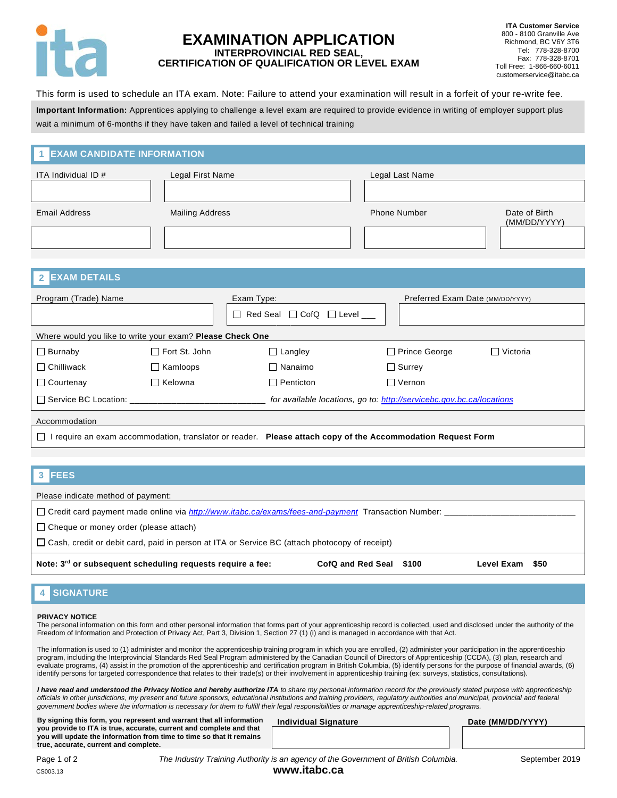

# **EXAMINATION APPLICATION INTERPROVINCIAL RED SEAL, CERTIFICATION OF QUALIFICATION OR LEVEL EXAM**

This form is used to schedule an ITA exam. Note: Failure to attend your examination will result in a forfeit of your re-write fee.

**Important Information:** Apprentices applying to challenge a level exam are required to provide evidence in writing of employer support plus wait a minimum of 6-months if they have taken and failed a level of technical training

#### **EXAM CANDIDATE INFORMATION 1**

| ITA Individual ID #  | Legal First Name       | Legal Last Name     |                               |
|----------------------|------------------------|---------------------|-------------------------------|
|                      |                        |                     |                               |
| <b>Email Address</b> | <b>Mailing Address</b> | <b>Phone Number</b> | Date of Birth<br>(MM/DD/YYYY) |
|                      |                        |                     |                               |
|                      |                        |                     |                               |

| <b>EXAM DETAILS</b>                                                                                                    |                      |                                              |                                                                      |                                  |  |  |
|------------------------------------------------------------------------------------------------------------------------|----------------------|----------------------------------------------|----------------------------------------------------------------------|----------------------------------|--|--|
| Program (Trade) Name                                                                                                   |                      | Exam Type:                                   |                                                                      | Preferred Exam Date (MM/DD/YYYY) |  |  |
|                                                                                                                        |                      | Red Seal $\Box$ CofQ $\Box$ Level<br>$\perp$ |                                                                      |                                  |  |  |
| Where would you like to write your exam? Please Check One                                                              |                      |                                              |                                                                      |                                  |  |  |
| $\Box$ Burnaby                                                                                                         | $\Box$ Fort St. John | $\Box$ Langley                               | $\Box$ Prince George                                                 | □ Victoria                       |  |  |
| $\Box$ Chilliwack                                                                                                      | $\Box$ Kamloops      | $\Box$ Nanaimo                               | $\Box$ Surrey                                                        |                                  |  |  |
| $\Box$ Courtenay                                                                                                       | $\Box$ Kelowna       | $\Box$ Penticton                             | $\Box$ Vernon                                                        |                                  |  |  |
| □ Service BC Location:                                                                                                 |                      |                                              | for available locations, go to: http://servicebc.gov.bc.ca/locations |                                  |  |  |
| Accommodation                                                                                                          |                      |                                              |                                                                      |                                  |  |  |
| I require an exam accommodation, translator or reader. Please attach copy of the Accommodation Request Form<br>$\perp$ |                      |                                              |                                                                      |                                  |  |  |
|                                                                                                                        |                      |                                              |                                                                      |                                  |  |  |

|               | 3 FEES |                                                                                                                                                                                                                               |  |  |  |
|---------------|--------|-------------------------------------------------------------------------------------------------------------------------------------------------------------------------------------------------------------------------------|--|--|--|
| $\sim$ $\sim$ |        | . The contract of the contract of the contract of the contract of the contract of the contract of the contract of the contract of the contract of the contract of the contract of the contract of the contract of the contrac |  |  |  |

Please indicate method of payment:

Credit card payment made online via *<http://www.itabc.ca/exams/fees-and-payment>* Transaction Number:

 $\Box$  Cheque or money order (please attach)

Cash, credit or debit card, paid in person at ITA or Service BC (attach photocopy of receipt)

**Note: 3rd or subsequent scheduling requests require a fee: CofQ and Red Seal \$100 Level Exam \$50**

### **SIGNATURE 4**

### **PRIVACY NOTICE**

The personal information on this form and other personal information that forms part of your apprenticeship record is collected, used and disclosed under the authority of the Freedom of Information and Protection of Privacy Act, Part 3, Division 1, Section 27 (1) (i) and is managed in accordance with that Act.

The information is used to (1) administer and monitor the apprenticeship training program in which you are enrolled, (2) administer your participation in the apprenticeship program, including the Interprovincial Standards Red Seal Program administered by the Canadian Council of Directors of Apprenticeship (CCDA), (3) plan, research and evaluate programs, (4) assist in the promotion of the apprenticeship and certification program in British Columbia, (5) identify persons for the purpose of financial awards, (6) identify persons for targeted correspondence that relates to their trade(s) or their involvement in apprenticeship training (ex: surveys, statistics, consultations).

*I have read and understood the Privacy Notice and hereby authorize ITA to share my personal information record for the previously stated purpose with apprenticeship officials in other jurisdictions, my present and future sponsors, educational institutions and training providers, regulatory authorities and municipal, provincial and federal government bodies where the information is necessary for them to fulfill their legal responsibilities or manage apprenticeship-related programs.*

**By signing this form, you represent and warrant that all information you provide to ITA is true, accurate, current and complete and that you will update the information from time to time so that it remains true, accurate, current and complete.**

**Individual Signature Date (MM/DD/YYYY)** 

Page 1 of 2 *The Industry Training Authority is an agency of the Government of British Columbia.* September 2019 CS003.13 **www.itabc.ca**